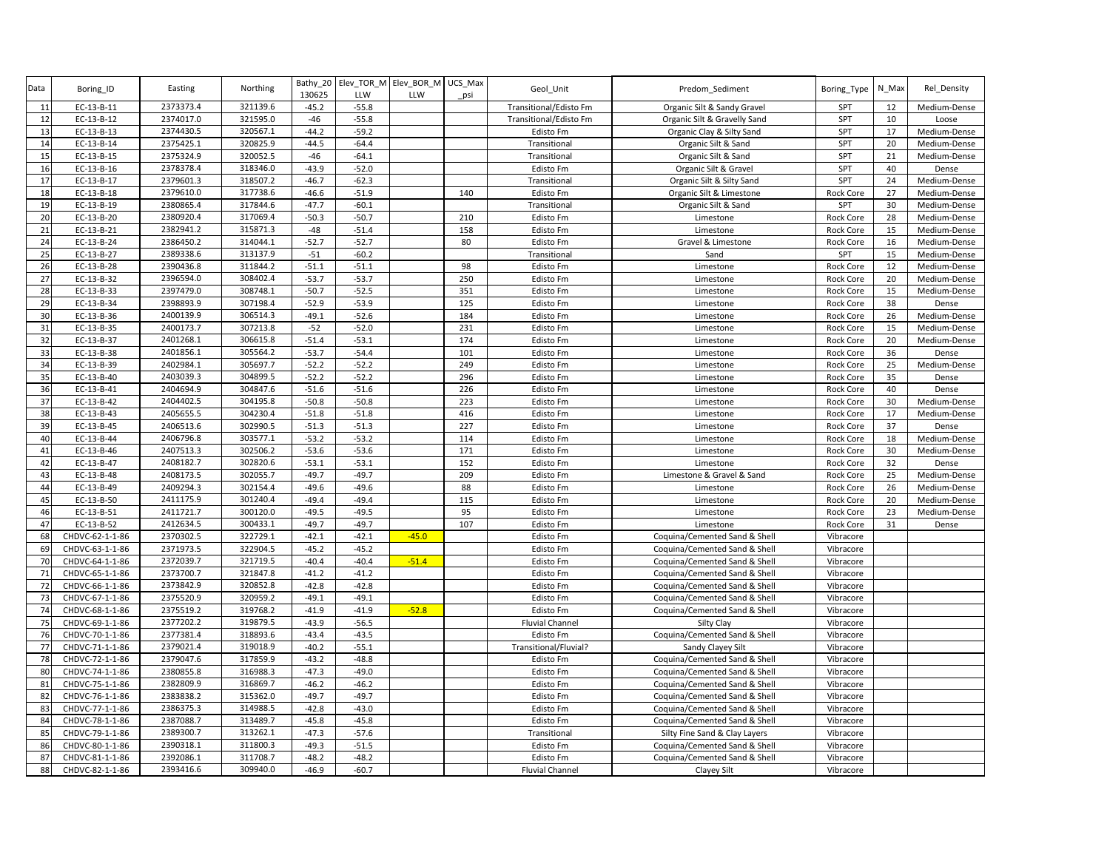| Data           | Boring_ID       | Easting   | Northing | 130625  | Bathy_20 Elev_TOR_M Elev_BOR_M<br>LLW | LLW     | UCS Max<br>psi | Geol_Unit              | Predom_Sediment               | Boring_Type      | N_Max | Rel Density  |
|----------------|-----------------|-----------|----------|---------|---------------------------------------|---------|----------------|------------------------|-------------------------------|------------------|-------|--------------|
| 11             | EC-13-B-11      | 2373373.4 | 321139.6 | $-45.2$ | $-55.8$                               |         |                | Transitional/Edisto Fm | Organic Silt & Sandy Gravel   | SPT              | 12    | Medium-Dense |
| 12             | EC-13-B-12      | 2374017.0 | 321595.0 | $-46$   | $-55.8$                               |         |                | Transitional/Edisto Fm | Organic Silt & Gravelly Sand  | SPT              | 10    | Loose        |
| 13             | EC-13-B-13      | 2374430.5 | 320567.1 | $-44.2$ | $-59.2$                               |         |                | <b>Edisto Fm</b>       | Organic Clay & Silty Sand     | SPT              | 17    | Medium-Dense |
| 14             | EC-13-B-14      | 2375425.1 | 320825.9 | $-44.5$ | $-64.4$                               |         |                | Transitional           | Organic Silt & Sand           | SPT              | 20    | Medium-Dense |
| 15             | EC-13-B-15      | 2375324.9 | 320052.5 | $-46$   | $-64.1$                               |         |                | Transitional           | Organic Silt & Sand           | SPT              | 21    | Medium-Dense |
| 16             | EC-13-B-16      | 2378378.4 | 318346.0 | $-43.9$ | $-52.0$                               |         |                | Edisto Fm              | Organic Silt & Gravel         | SPT              | 40    | Dense        |
| 17             | EC-13-B-17      | 2379601.3 | 318507.2 | $-46.7$ | $-62.3$                               |         |                | Transitional           | Organic Silt & Silty Sand     | SPT              | 24    | Medium-Dense |
| 18             | EC-13-B-18      | 2379610.0 | 317738.6 | $-46.6$ | $-51.9$                               |         | 140            | <b>Edisto Fm</b>       | Organic Silt & Limestone      | <b>Rock Core</b> | 27    | Medium-Dense |
| 19             | EC-13-B-19      | 2380865.4 | 317844.6 | $-47.7$ | $-60.1$                               |         |                | Transitional           | Organic Silt & Sand           | SPT              | 30    | Medium-Dense |
| 20             | EC-13-B-20      | 2380920.4 | 317069.4 | $-50.3$ | $-50.7$                               |         | 210            | <b>Edisto Fm</b>       | Limestone                     | Rock Core        | 28    | Medium-Dense |
| 21             | EC-13-B-21      | 2382941.2 | 315871.3 | $-48$   | $-51.4$                               |         | 158            | Edisto Fm              | Limestone                     | Rock Core        | 15    | Medium-Dense |
| 24             | EC-13-B-24      | 2386450.2 | 314044.1 | $-52.7$ | $-52.7$                               |         | 80             | Edisto Fm              | Gravel & Limestone            | Rock Core        | 16    | Medium-Dense |
| 25             | EC-13-B-27      | 2389338.6 | 313137.9 | $-51$   | $-60.2$                               |         |                | Transitional           | Sand                          | SPT              | 15    | Medium-Dense |
| 26             | EC-13-B-28      | 2390436.8 | 311844.2 | $-51.1$ | $-51.1$                               |         | 98             | Edisto Fm              | Limestone                     | Rock Core        | 12    | Medium-Dense |
| 27             | EC-13-B-32      | 2396594.0 | 308402.4 | $-53.7$ | $-53.7$                               |         | 250            | <b>Edisto Fm</b>       | Limestone                     | Rock Core        | 20    | Medium-Dense |
| 28             | EC-13-B-33      | 2397479.0 | 308748.1 | $-50.7$ | $-52.5$                               |         | 351            | Edisto Fm              | Limestone                     | Rock Core        | 15    | Medium-Dense |
| 2 <sub>5</sub> | EC-13-B-34      | 2398893.9 | 307198.4 | $-52.9$ | $-53.9$                               |         | 125            | <b>Edisto Fm</b>       | Limestone                     | <b>Rock Core</b> | 38    | Dense        |
| 3 <sub>C</sub> | EC-13-B-36      | 2400139.9 | 306514.3 | $-49.1$ | $-52.6$                               |         | 184            | Edisto Fm              | Limestone                     | Rock Core        | 26    | Medium-Dense |
| 31             | EC-13-B-35      | 2400173.7 | 307213.8 | $-52$   | $-52.0$                               |         | 231            | Edisto Fm              | Limestone                     | <b>Rock Core</b> | 15    | Medium-Dense |
| 32             | EC-13-B-37      | 2401268.1 | 306615.8 | $-51.4$ | $-53.1$                               |         | 174            | Edisto Fm              | Limestone                     | <b>Rock Core</b> | 20    | Medium-Dense |
| 33             | EC-13-B-38      | 2401856.1 | 305564.2 | $-53.7$ | $-54.4$                               |         | 101            | Edisto Fm              | Limestone                     | Rock Core        | 36    | Dense        |
| 34             | EC-13-B-39      | 2402984.1 | 305697.7 | $-52.2$ | $-52.2$                               |         | 249            | <b>Edisto Fm</b>       | Limestone                     | Rock Core        | 25    | Medium-Dense |
| 35             | EC-13-B-40      | 2403039.3 | 304899.5 | $-52.2$ | $-52.2$                               |         | 296            | <b>Edisto Fm</b>       | Limestone                     | Rock Core        | 35    | Dense        |
| 36             | EC-13-B-41      | 2404694.9 | 304847.6 | $-51.6$ | $-51.6$                               |         | 226            | Edisto Fm              | Limestone                     | <b>Rock Core</b> | 40    | Dense        |
| 37             | EC-13-B-42      | 2404402.5 | 304195.8 | $-50.8$ | $-50.8$                               |         | 223            | Edisto Fm              | Limestone                     | <b>Rock Core</b> | 30    | Medium-Dense |
| 38             | EC-13-B-43      | 2405655.5 | 304230.4 | $-51.8$ | $-51.8$                               |         | 416            | Edisto Fm              | Limestone                     | Rock Core        | 17    | Medium-Dense |
| 39             | EC-13-B-45      | 2406513.6 | 302990.5 | $-51.3$ | $-51.3$                               |         | 227            | <b>Edisto Fm</b>       | Limestone                     | Rock Core        | 37    | Dense        |
| 4 <sub>C</sub> | EC-13-B-44      | 2406796.8 | 303577.1 | $-53.2$ | $-53.2$                               |         | 114            | Edisto Fm              | Limestone                     | Rock Core        | 18    | Medium-Dense |
| 41             | EC-13-B-46      | 2407513.3 | 302506.2 | $-53.6$ | $-53.6$                               |         | 171            | Edisto Fm              | Limestone                     | Rock Core        | 30    | Medium-Dense |
| 42             | EC-13-B-47      | 2408182.7 | 302820.6 | $-53.1$ | $-53.1$                               |         | 152            | Edisto Fm              | Limestone                     | <b>Rock Core</b> | 32    | Dense        |
| 43             | EC-13-B-48      | 2408173.5 | 302055.7 | $-49.7$ | $-49.7$                               |         | 209            | <b>Edisto Fm</b>       | Limestone & Gravel & Sand     | Rock Core        | 25    | Medium-Dense |
| 44             | EC-13-B-49      | 2409294.3 | 302154.4 | $-49.6$ | $-49.6$                               |         | 88             | Edisto Fm              | Limestone                     | Rock Core        | 26    | Medium-Dense |
| 45             | EC-13-B-50      | 2411175.9 | 301240.4 | $-49.4$ | $-49.4$                               |         | 115            | Edisto Fm              | Limestone                     | Rock Core        | 20    | Medium-Dense |
| 46             | EC-13-B-51      | 2411721.7 | 300120.0 | $-49.5$ | $-49.5$                               |         | 95             | <b>Edisto Fm</b>       | Limestone                     | Rock Core        | 23    | Medium-Dense |
| 47             | EC-13-B-52      | 2412634.5 | 300433.1 | $-49.7$ | $-49.7$                               |         | 107            | Edisto Fm              | Limestone                     | <b>Rock Core</b> | 31    | Dense        |
| 68             | CHDVC-62-1-1-86 | 2370302.5 | 322729.1 | $-42.1$ | $-42.1$                               | $-45.0$ |                | Edisto Fm              | Coquina/Cemented Sand & Shell | Vibracore        |       |              |
| 69             | CHDVC-63-1-1-86 | 2371973.5 | 322904.5 | $-45.2$ | $-45.2$                               |         |                | Edisto Fm              | Coquina/Cemented Sand & Shell | Vibracore        |       |              |
| 70             | CHDVC-64-1-1-86 | 2372039.7 | 321719.5 | $-40.4$ | $-40.4$                               | $-51.4$ |                | Edisto Fm              | Coquina/Cemented Sand & Shell | Vibracore        |       |              |
| 71             | CHDVC-65-1-1-86 | 2373700.7 | 321847.8 | $-41.2$ | $-41.2$                               |         |                | Edisto Fm              | Coquina/Cemented Sand & Shell | Vibracore        |       |              |
| 72             | CHDVC-66-1-1-86 | 2373842.9 | 320852.8 | $-42.8$ | $-42.8$                               |         |                | <b>Edisto Fm</b>       | Coquina/Cemented Sand & Shell | Vibracore        |       |              |
| 73             | CHDVC-67-1-1-86 | 2375520.9 | 320959.2 | $-49.1$ | $-49.1$                               |         |                | Edisto Fm              | Coquina/Cemented Sand & Shell | Vibracore        |       |              |
| 74             | CHDVC-68-1-1-86 | 2375519.2 | 319768.2 | $-41.9$ | $-41.9$                               | $-52.8$ |                | Edisto Fm              | Coquina/Cemented Sand & Shell | Vibracore        |       |              |
| 75             | CHDVC-69-1-1-86 | 2377202.2 | 319879.5 | $-43.9$ | $-56.5$                               |         |                | <b>Fluvial Channel</b> | Silty Clay                    | Vibracore        |       |              |
| 76             | CHDVC-70-1-1-86 | 2377381.4 | 318893.6 | $-43.4$ | $-43.5$                               |         |                | <b>Edisto Fm</b>       | Coquina/Cemented Sand & Shell | Vibracore        |       |              |
| 77             | CHDVC-71-1-1-86 | 2379021.4 | 319018.9 | $-40.2$ | $-55.1$                               |         |                | Transitional/Fluvial?  | Sandy Clayey Silt             | Vibracore        |       |              |
| 78             | CHDVC-72-1-1-86 | 2379047.6 | 317859.9 | $-43.2$ | $-48.8$                               |         |                | Edisto Fm              | Coquina/Cemented Sand & Shell | Vibracore        |       |              |
| 80             | CHDVC-74-1-1-86 | 2380855.8 | 316988.3 | $-47.3$ | $-49.0$                               |         |                | <b>Edisto Fm</b>       | Coquina/Cemented Sand & Shell | Vibracore        |       |              |
| 81             | CHDVC-75-1-1-86 | 2382809.9 | 316869.7 | $-46.2$ | $-46.2$                               |         |                | Edisto Fm              | Coquina/Cemented Sand & Shell | Vibracore        |       |              |
| 82             | CHDVC-76-1-1-86 | 2383838.2 | 315362.0 | $-49.7$ | $-49.7$                               |         |                | <b>Edisto Fm</b>       | Coquina/Cemented Sand & Shell | Vibracore        |       |              |
| 83             | CHDVC-77-1-1-86 | 2386375.3 | 314988.5 | $-42.8$ | $-43.0$                               |         |                | Edisto Fm              | Coquina/Cemented Sand & Shell | Vibracore        |       |              |
| 84             | CHDVC-78-1-1-86 | 2387088.7 | 313489.7 | $-45.8$ | $-45.8$                               |         |                | <b>Edisto Fm</b>       | Coquina/Cemented Sand & Shell | Vibracore        |       |              |
| 85             | CHDVC-79-1-1-86 | 2389300.7 | 313262.1 | $-47.3$ | $-57.6$                               |         |                | Transitional           | Silty Fine Sand & Clay Layers | Vibracore        |       |              |
| 86             | CHDVC-80-1-1-86 | 2390318.1 | 311800.3 | $-49.3$ | $-51.5$                               |         |                | Edisto Fm              | Coquina/Cemented Sand & Shell | Vibracore        |       |              |
| 87             | CHDVC-81-1-1-86 | 2392086.1 | 311708.7 | $-48.2$ | $-48.2$                               |         |                | Edisto Fm              | Coquina/Cemented Sand & Shell | Vibracore        |       |              |
| 88             | CHDVC-82-1-1-86 | 2393416.6 | 309940.0 | $-46.9$ | $-60.7$                               |         |                | <b>Fluvial Channel</b> | Clayey Silt                   | Vibracore        |       |              |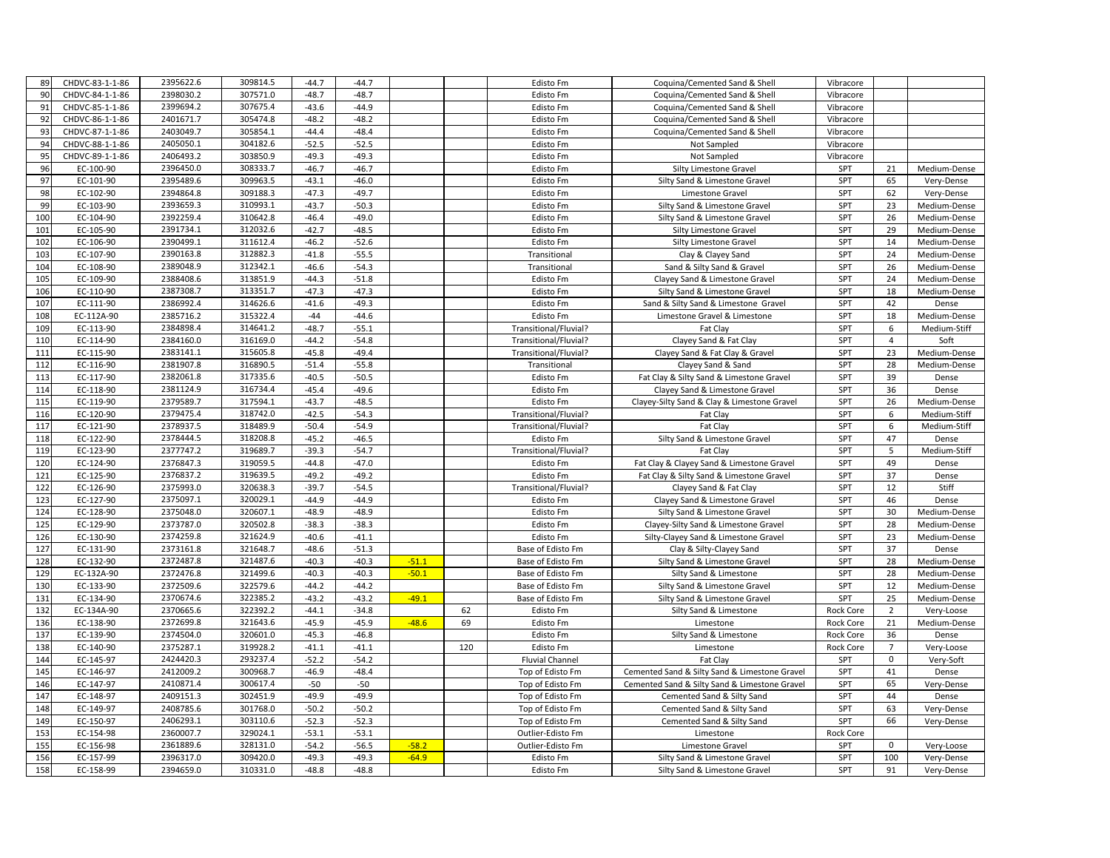| 89         | CHDVC-83-1-1-86        | 2395622.6              | 309814.5             | $-44.7$            | $-44.7$            |         |     | Edisto Fm                                  | Coquina/Cemented Sand & Shell                             | Vibracore        |                |                    |
|------------|------------------------|------------------------|----------------------|--------------------|--------------------|---------|-----|--------------------------------------------|-----------------------------------------------------------|------------------|----------------|--------------------|
| 90         | CHDVC-84-1-1-86        | 2398030.2              | 307571.0             | $-48.7$            | $-48.7$            |         |     | Edisto Fm                                  | Coquina/Cemented Sand & Shell                             | Vibracore        |                |                    |
| 91         | CHDVC-85-1-1-86        | 2399694.2              | 307675.4             | $-43.6$            | $-44.9$            |         |     | Edisto Fm                                  | Coquina/Cemented Sand & Shell                             | Vibracore        |                |                    |
| 92         | CHDVC-86-1-1-86        | 2401671.7              | 305474.8             | $-48.2$            | $-48.2$            |         |     | Edisto Fm                                  | Coquina/Cemented Sand & Shell                             | Vibracore        |                |                    |
| 93         | CHDVC-87-1-1-86        | 2403049.7              | 305854.1             | $-44.4$            | $-48.4$            |         |     | Edisto Fm                                  | Coquina/Cemented Sand & Shell                             | Vibracore        |                |                    |
| 94         | CHDVC-88-1-1-86        | 2405050.1              | 304182.6             | $-52.5$            | $-52.5$            |         |     | <b>Edisto Fm</b>                           | Not Sampled                                               | Vibracore        |                |                    |
| 95         | CHDVC-89-1-1-86        | 2406493.2              | 303850.9             | $-49.3$            | $-49.3$            |         |     | Edisto Fm                                  | Not Sampled                                               | Vibracore        |                |                    |
| 96         | EC-100-90              | 2396450.0              | 308333.7             | $-46.7$            | $-46.7$            |         |     | <b>Edisto Fm</b>                           | Silty Limestone Gravel                                    | SPT              | 21             | Medium-Dense       |
| 97         | EC-101-90              | 2395489.6              | 309963.5             | $-43.1$            | $-46.0$            |         |     | Edisto Fm                                  | Silty Sand & Limestone Gravel                             | SPT              | 65             | Very-Dense         |
| 98         | EC-102-90              | 2394864.8              | 309188.3             | $-47.3$            | $-49.7$            |         |     | <b>Edisto Fm</b>                           | Limestone Gravel                                          | SPT              | 62             | Very-Dense         |
| 99         | EC-103-90              | 2393659.3              | 310993.1             | $-43.7$            | $-50.3$            |         |     | Edisto Fm                                  | Silty Sand & Limestone Gravel                             | SPT              | 23             | Medium-Dense       |
| 100        | EC-104-90              | 2392259.4              | 310642.8             | $-46.4$            | $-49.0$            |         |     | Edisto Fm                                  | Silty Sand & Limestone Gravel                             | SPT              | 26             | Medium-Dense       |
| 101        | EC-105-90              | 2391734.1              | 312032.6             | $-42.7$            | $-48.5$            |         |     | Edisto Fm                                  | Silty Limestone Gravel                                    | SPT              | 29             | Medium-Dense       |
| 102        | EC-106-90              | 2390499.1              | 311612.4             | $-46.2$            | $-52.6$            |         |     | <b>Edisto Fm</b>                           | <b>Silty Limestone Gravel</b>                             | SPT              | 14             | Medium-Dense       |
| 103        | EC-107-90              | 2390163.8              | 312882.3             | $-41.8$            | $-55.5$            |         |     | Transitional                               | Clay & Clayey Sand                                        | SPT              | 24             | Medium-Dense       |
| 104        | EC-108-90              | 2389048.9              | 312342.1             | $-46.6$            | $-54.3$            |         |     | Transitional                               | Sand & Silty Sand & Gravel                                | SPT              | 26             | Medium-Dense       |
| 105        | EC-109-90              | 2388408.6              | 313851.9             | $-44.3$            | $-51.8$            |         |     | Edisto Fm                                  | Clayey Sand & Limestone Gravel                            | SPT              | 24             | Medium-Dense       |
| 106        | EC-110-90              | 2387308.7              | 313351.7             | $-47.3$            | $-47.3$            |         |     | <b>Edisto Fm</b>                           | Silty Sand & Limestone Gravel                             | SPT              | 18             | Medium-Dense       |
| 107        | EC-111-90              | 2386992.4              | 314626.6             | $-41.6$            | $-49.3$            |         |     | Edisto Fm                                  | Sand & Silty Sand & Limestone Gravel                      | SPT              | 42             | Dense              |
| 108        | EC-112A-90             | 2385716.2              | 315322.4             | $-44$              | $-44.6$            |         |     | <b>Edisto Fm</b>                           | Limestone Gravel & Limestone                              | SPT              | 18             | Medium-Dense       |
| 109        | EC-113-90              | 2384898.4              | 314641.2             | $-48.7$            | $-55.1$            |         |     | Transitional/Fluvial?                      | Fat Clay                                                  | SPT              | 6              | Medium-Stiff       |
| 110        | EC-114-90              | 2384160.0              | 316169.0             | $-44.2$            | $-54.8$            |         |     | Transitional/Fluvial?                      | Clayey Sand & Fat Clay                                    | SPT              | $\overline{4}$ | Soft               |
| 111        | EC-115-90              | 2383141.1              | 315605.8             | $-45.8$            | $-49.4$            |         |     | Transitional/Fluvial?                      | Clayey Sand & Fat Clay & Gravel                           | SPT              | 23             | Medium-Dense       |
| 112        | EC-116-90              | 2381907.8              | 316890.5             | $-51.4$            | $-55.8$            |         |     | Transitional                               | Clayey Sand & Sand                                        | SPT              | 28             | Medium-Dense       |
| 113        | EC-117-90              | 2382061.8              | 317335.6             | $-40.5$            | $-50.5$            |         |     | Edisto Fm                                  | Fat Clay & Silty Sand & Limestone Gravel                  | SPT              | 39             | Dense              |
| 114        | EC-118-90              | 2381124.9              | 316734.4             | $-45.4$            | $-49.6$            |         |     | <b>Edisto Fm</b>                           | Clayey Sand & Limestone Gravel                            | SPT              | 36             | Dense              |
| 115        | EC-119-90              | 2379589.7              | 317594.1             | $-43.7$            | $-48.5$            |         |     | <b>Edisto Fm</b>                           | Clayey-Silty Sand & Clay & Limestone Gravel               | SPT              | 26             | Medium-Dense       |
| 116        | EC-120-90              | 2379475.4              | 318742.0             | $-42.5$            | $-54.3$            |         |     | Transitional/Fluvial?                      | Fat Clay                                                  | SPT              | 6              | Medium-Stiff       |
| 117        | EC-121-90              | 2378937.5              | 318489.9             | $-50.4$            | $-54.9$            |         |     | Transitional/Fluvial?                      | Fat Clay                                                  | SPT              | 6              | Medium-Stiff       |
| 118        | EC-122-90              | 2378444.5              | 318208.8             | $-45.2$            | $-46.5$            |         |     | Edisto Fm                                  | Silty Sand & Limestone Gravel                             | SPT              | 47             | Dense              |
| 119        | EC-123-90              | 2377747.2              | 319689.7             | $-39.3$            | $-54.7$            |         |     | Transitional/Fluvial?                      | Fat Clay                                                  | SPT              | 5              | Medium-Stiff       |
| 120        | EC-124-90              | 2376847.3              | 319059.5             | $-44.8$            | $-47.0$            |         |     | Edisto Fm                                  | Fat Clay & Clayey Sand & Limestone Gravel                 | SPT              | 49             | Dense              |
| 121        | EC-125-90              | 2376837.2              | 319639.5             | $-49.2$            | $-49.2$            |         |     | Edisto Fm                                  | Fat Clay & Silty Sand & Limestone Gravel                  | SPT              | 37             | Dense              |
| 122        | EC-126-90              | 2375993.0              | 320638.3             | $-39.7$            | $-54.5$            |         |     | Transitional/Fluvial?                      | Clayey Sand & Fat Clay                                    | SPT              | 12             | Stiff              |
| 123        | EC-127-90              | 2375097.1              | 320029.1             | $-44.9$            | $-44.9$            |         |     | <b>Edisto Fm</b>                           | Clayey Sand & Limestone Gravel                            | SPT              | 46             | Dense              |
| 124        | EC-128-90              | 2375048.0              | 320607.1             | $-48.9$            | $-48.9$            |         |     | Edisto Fm                                  | Silty Sand & Limestone Gravel                             | SPT              | 30             | Medium-Dense       |
| 125        | EC-129-90              | 2373787.0              | 320502.8             | $-38.3$            | $-38.3$            |         |     | Edisto Fm                                  | Clayey-Silty Sand & Limestone Gravel                      | SPT              | 28             | Medium-Dense       |
| 126        | EC-130-90              | 2374259.8              | 321624.9             | $-40.6$            | $-41.1$            |         |     | Edisto Fm                                  | Silty-Clayey Sand & Limestone Gravel                      | SPT              | 23             | Medium-Dense       |
| 127        | EC-131-90              | 2373161.8              | 321648.7             | $-48.6$            | $-51.3$            |         |     | Base of Edisto Fm                          | Clay & Silty-Clayey Sand                                  | SPT              | 37             | Dense              |
| 128        | EC-132-90              | 2372487.8              | 321487.6             | $-40.3$            | $-40.3$            | $-51.1$ |     | Base of Edisto Fm                          | Silty Sand & Limestone Gravel                             | SPT              | 28             | Medium-Dense       |
| 129        | EC-132A-90             | 2372476.8              | 321499.6             | $-40.3$            | $-40.3$            | $-50.1$ |     | Base of Edisto Fm                          | Silty Sand & Limestone                                    | SPT              | 28             | Medium-Dense       |
| 130        | EC-133-90              | 2372509.6              | 322579.6             | $-44.2$            | $-44.2$            |         |     | Base of Edisto Fm                          | Silty Sand & Limestone Gravel                             | SPT              | 12             | Medium-Dense       |
| 131        | EC-134-90              | 2370674.6              | 322385.2             | $-43.2$            | $-43.2$            | $-49.1$ |     | Base of Edisto Fm                          | Silty Sand & Limestone Gravel                             | SPT              | 25             | Medium-Dense       |
| 132        | EC-134A-90             | 2370665.6              | 322392.2             | $-44.1$            | $-34.8$            |         | 62  | Edisto Fm                                  | Silty Sand & Limestone                                    | <b>Rock Core</b> | $\overline{2}$ | Very-Loose         |
| 136        | EC-138-90              | 2372699.8<br>2374504.0 | 321643.6<br>320601.0 | $-45.9$            | $-45.9$            | $-48.6$ | 69  | Edisto Fm                                  | Limestone                                                 | <b>Rock Core</b> | 21<br>36       | Medium-Dense       |
| 137        | EC-139-90<br>EC-140-90 | 2375287.1              | 319928.2             | $-45.3$<br>$-41.1$ | $-46.8$<br>$-41.1$ |         | 120 | Edisto Fm<br>Edisto Fm                     | Silty Sand & Limestone                                    | <b>Rock Core</b> | $\overline{7}$ | Dense              |
| 138        |                        | 2424420.3              | 293237.4             |                    |                    |         |     |                                            | Limestone                                                 | <b>Rock Core</b> | $\mathbf{0}$   | Very-Loose         |
| 144<br>145 | EC-145-97<br>EC-146-97 | 2412009.2              | 300968.7             | $-52.2$<br>$-46.9$ | $-54.2$<br>$-48.4$ |         |     | <b>Fluvial Channel</b><br>Top of Edisto Fm | Fat Clay<br>Cemented Sand & Silty Sand & Limestone Gravel | SPT<br>SPT       | 41             | Very-Soft<br>Dense |
| 146        | EC-147-97              | 2410871.4              | 300617.4             | $-50$              | $-50$              |         |     | Top of Edisto Fm                           | Cemented Sand & Silty Sand & Limestone Gravel             | SPT              | 65             | Very-Dense         |
| 147        | EC-148-97              | 2409151.3              | 302451.9             | $-49.9$            | $-49.9$            |         |     | Top of Edisto Fm                           | Cemented Sand & Silty Sand                                | SPT              | 44             | Dense              |
| 148        | EC-149-97              | 2408785.6              | 301768.0             | $-50.2$            | $-50.2$            |         |     | Top of Edisto Fm                           | Cemented Sand & Silty Sand                                | SPT              | 63             | Very-Dense         |
| 149        | EC-150-97              | 2406293.1              | 303110.6             | $-52.3$            | $-52.3$            |         |     | Top of Edisto Fm                           | Cemented Sand & Silty Sand                                | SPT              | 66             | Very-Dense         |
| 153        | EC-154-98              | 2360007.7              | 329024.1             | $-53.1$            | $-53.1$            |         |     | Outlier-Edisto Fm                          | Limestone                                                 | Rock Core        |                |                    |
| 155        | EC-156-98              | 2361889.6              | 328131.0             | $-54.2$            | $-56.5$            | $-58.2$ |     | Outlier-Edisto Fm                          | Limestone Gravel                                          | SPT              | $\mathbf{0}$   | Very-Loose         |
| 156        | EC-157-99              | 2396317.0              | 309420.0             | $-49.3$            | $-49.3$            | $-64.9$ |     | Edisto Fm                                  | Silty Sand & Limestone Gravel                             | SPT              | 100            | Very-Dense         |
| 158        | EC-158-99              | 2394659.0              | 310331.0             | $-48.8$            | $-48.8$            |         |     | Edisto Fm                                  | Silty Sand & Limestone Gravel                             | SPT              | 91             | Very-Dense         |
|            |                        |                        |                      |                    |                    |         |     |                                            |                                                           |                  |                |                    |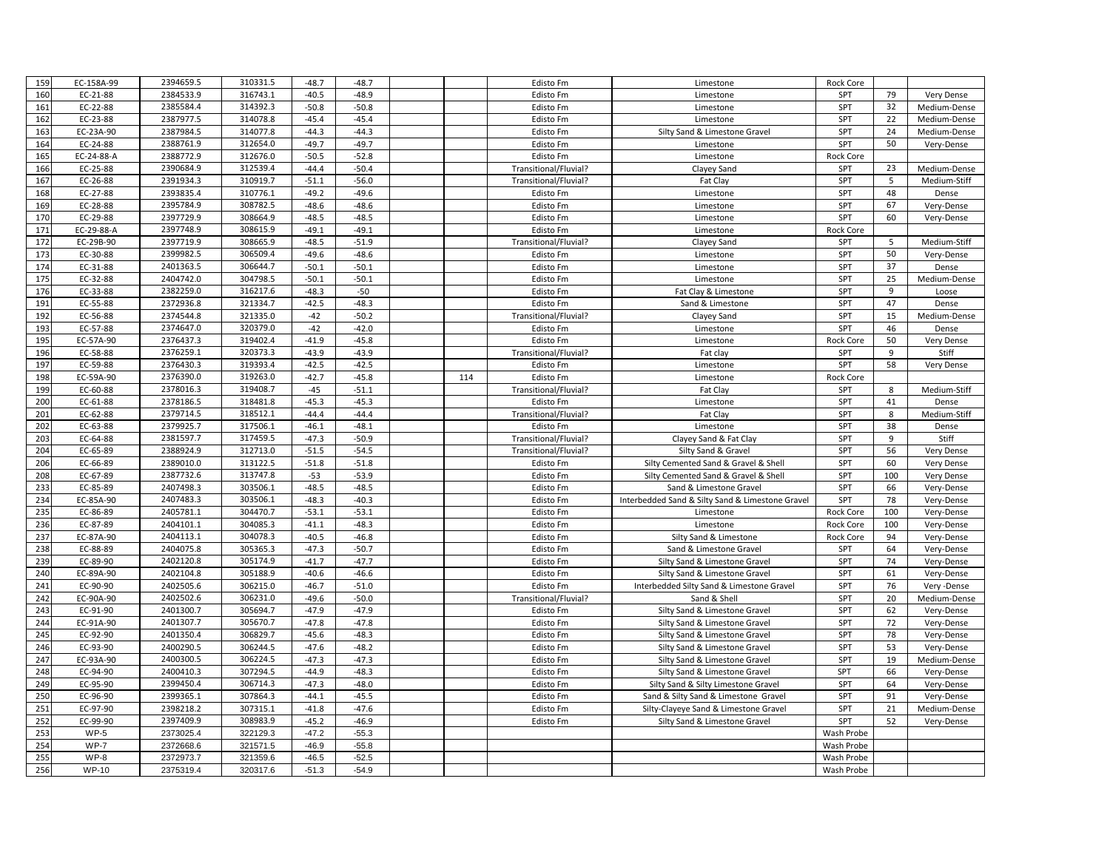| 159        | EC-158A-99            | 2394659.5              | 310331.5             | $-48.7$            | $-48.7$            |     | Edisto Fm              | Limestone                                                                  | Rock Core        |          |                          |
|------------|-----------------------|------------------------|----------------------|--------------------|--------------------|-----|------------------------|----------------------------------------------------------------------------|------------------|----------|--------------------------|
| 160        | EC-21-88              | 2384533.9              | 316743.1             | $-40.5$            | $-48.9$            |     | Edisto Fm              | Limestone                                                                  | SPT              | 79       | Very Dense               |
| 161        | EC-22-88              | 2385584.4              | 314392.3             | $-50.8$            | $-50.8$            |     | Edisto Fm              | Limestone                                                                  | SPT              | 32       | Medium-Dense             |
| 162        | EC-23-88              | 2387977.5              | 314078.8             | $-45.4$            | $-45.4$            |     | Edisto Fm              | Limestone                                                                  | SPT              | 22       | Medium-Dense             |
| 163        | EC-23A-90             | 2387984.5              | 314077.8             | $-44.3$            | $-44.3$            |     | Edisto Fm              | Silty Sand & Limestone Gravel                                              | <b>SPT</b>       | 24       | Medium-Dense             |
| 164        | EC-24-88              | 2388761.9              | 312654.0             | $-49.7$            | $-49.7$            |     | Edisto Fm              | Limestone                                                                  | SPT              | 50       | Very-Dense               |
| 165        | EC-24-88-A            | 2388772.9              | 312676.0             | $-50.5$            | $-52.8$            |     | Edisto Fm              | Limestone                                                                  | Rock Core        |          |                          |
| 166        | EC-25-88              | 2390684.9              | 312539.4             | $-44.4$            | $-50.4$            |     | Transitional/Fluvial?  | Clayey Sand                                                                | SPT              | 23       | Medium-Dense             |
| 167        | EC-26-88              | 2391934.3              | 310919.7             | $-51.1$            | $-56.0$            |     | Transitional/Fluvial?  | Fat Clay                                                                   | SPT              | 5        | Medium-Stiff             |
| 168        | EC-27-88              | 2393835.4              | 310776.1             | $-49.2$            | $-49.6$            |     | Edisto Fm              | Limestone                                                                  | SPT              | 48       | Dense                    |
| 169        | EC-28-88              | 2395784.9              | 308782.5             | $-48.6$            | $-48.6$            |     | Edisto Fm              | Limestone                                                                  | SPT              | 67       | Very-Dense               |
| 170        | EC-29-88              | 2397729.9              | 308664.9             | $-48.5$            | $-48.5$            |     | <b>Edisto Fm</b>       | Limestone                                                                  | SPT              | 60       | Very-Dense               |
| 171        | EC-29-88-A            | 2397748.9              | 308615.9             | $-49.1$            | $-49.1$            |     | Edisto Fm              | Limestone                                                                  | Rock Core        |          |                          |
| 172        | EC-29B-90             | 2397719.9              | 308665.9             | $-48.5$            | $-51.9$            |     | Transitional/Fluvial?  | Clayey Sand                                                                | SPT              | -5       | Medium-Stiff             |
| 173        | EC-30-88              | 2399982.5              | 306509.4             | $-49.6$            | $-48.6$            |     | Edisto Fm              | Limestone                                                                  | SPT              | 50       | Very-Dense               |
| 174        | EC-31-88              | 2401363.5              | 306644.7             | $-50.1$            | $-50.1$            |     | Edisto Fm              | Limestone                                                                  | SPT              | 37       | Dense                    |
| 175        | EC-32-88              | 2404742.0              | 304798.5             | $-50.1$            | $-50.1$            |     | Edisto Fm              | Limestone                                                                  | SPT              | 25       | Medium-Dense             |
| 176        | EC-33-88              | 2382259.0              | 316217.6             | $-48.3$            | $-50$              |     | Edisto Fm              | Fat Clay & Limestone                                                       | SPT              | 9        | Loose                    |
| 191        | EC-55-88              | 2372936.8              | 321334.7             | $-42.5$            | $-48.3$            |     | Edisto Fm              | Sand & Limestone                                                           | SPT              | 47       | Dense                    |
| 192        | EC-56-88              | 2374544.8              | 321335.0             | $-42$              | $-50.2$            |     | Transitional/Fluvial?  | Clayey Sand                                                                | SPT              | 15       | Medium-Dense             |
| 193        | EC-57-88              | 2374647.0              | 320379.0             | $-42$              | $-42.0$            |     | <b>Edisto Fm</b>       | Limestone                                                                  | <b>SPT</b>       | 46       | Dense                    |
| 195        | EC-57A-90             | 2376437.3              | 319402.4             | $-41.9$            | $-45.8$            |     | Edisto Fm              | Limestone                                                                  | Rock Core        | 50       | Very Dense               |
| 196        | EC-58-88              | 2376259.1              | 320373.3             | $-43.9$            | $-43.9$            |     | Transitional/Fluvial?  | Fat clay                                                                   | SPT              | 9        | Stiff                    |
| 197        | EC-59-88              | 2376430.3              | 319393.4             | $-42.5$            | $-42.5$            |     | Edisto Fm              | Limestone                                                                  | SPT              | 58       | Very Dense               |
| 198        | EC-59A-90             | 2376390.0              | 319263.0             | $-42.7$            | $-45.8$            | 114 | Edisto Fm              | Limestone                                                                  | <b>Rock Core</b> |          |                          |
| 199        | EC-60-88              | 2378016.3              | 319408.7             | $-45$              | $-51.1$            |     | Transitional/Fluvial?  | Fat Clay                                                                   | SPT              | 8        | Medium-Stiff             |
| 200        | EC-61-88              | 2378186.5              | 318481.8             | $-45.3$            | $-45.3$            |     | Edisto Fm              | Limestone                                                                  | SPT              | 41       | Dense                    |
| 201        | EC-62-88              | 2379714.5              | 318512.1             | $-44.4$            | $-44.4$            |     | Transitional/Fluvial?  | Fat Clay                                                                   | SPT              | 8        | Medium-Stiff             |
| 202        | EC-63-88              | 2379925.7              | 317506.1             | $-46.1$            | $-48.1$            |     | Edisto Fm              | Limestone                                                                  | SPT              | 38       | Dense                    |
| 203        | EC-64-88              | 2381597.7              | 317459.5             | $-47.3$            | $-50.9$            |     | Transitional/Fluvial?  | Clayey Sand & Fat Clay                                                     | SPT              | 9        | Stiff                    |
| 204        | EC-65-89              | 2388924.9              | 312713.0             | $-51.5$            | $-54.5$            |     | Transitional/Fluvial?  | Silty Sand & Gravel                                                        | SPT              | 56       | Very Dense               |
| 206        | EC-66-89              | 2389010.0              | 313122.5             | $-51.8$            | $-51.8$            |     | Edisto Fm              | Silty Cemented Sand & Gravel & Shell                                       | SPT              | 60       | Very Dense               |
| 208        | EC-67-89              | 2387732.6              | 313747.8             | $-53$              | $-53.9$            |     | Edisto Fm              | Silty Cemented Sand & Gravel & Shell                                       | SPT              | 100      | Very Dense               |
| 233        | EC-85-89              | 2407498.3              | 303506.1             | $-48.5$            | $-48.5$            |     | Edisto Fm              | Sand & Limestone Gravel                                                    | SPT              | 66       | Very-Dense               |
| 234        | EC-85A-90             | 2407483.3              | 303506.1             | $-48.3$            | $-40.3$            |     | Edisto Fm              | Interbedded Sand & Silty Sand & Limestone Gravel                           | SPT              | 78       | Very-Dense               |
| 235        | EC-86-89              | 2405781.1              | 304470.7             | $-53.1$            | $-53.1$            |     | Edisto Fm              | Limestone                                                                  | Rock Core        | 100      | Very-Dense               |
| 236        | EC-87-89              | 2404101.1              | 304085.3             | $-41.1$            | $-48.3$            |     | Edisto Fm              | Limestone                                                                  | <b>Rock Core</b> | 100      | Very-Dense               |
| 237        | EC-87A-90             | 2404113.1              | 304078.3             | $-40.5$            | $-46.8$            |     | Edisto Fm              | Silty Sand & Limestone                                                     | Rock Core        | 94<br>64 | Very-Dense               |
| 238        | EC-88-89              | 2404075.8              | 305365.3             | $-47.3$            | $-50.7$            |     | Edisto Fm              | Sand & Limestone Gravel                                                    | SPT              |          | Very-Dense               |
| 239        | EC-89-90              | 2402120.8<br>2402104.8 | 305174.9             | $-41.7$            | $-47.7$            |     | Edisto Fm              | Silty Sand & Limestone Gravel                                              | SPT              | 74       | Very-Dense               |
| 240<br>241 | EC-89A-90<br>EC-90-90 | 2402505.6              | 305188.9<br>306215.0 | $-40.6$<br>$-46.7$ | $-46.6$<br>$-51.0$ |     | Edisto Fm<br>Edisto Fm | Silty Sand & Limestone Gravel<br>Interbedded Silty Sand & Limestone Gravel | SPT<br>SPT       | 61<br>76 | Very-Dense<br>Very-Dense |
| 242        | EC-90A-90             | 2402502.6              | 306231.0             | $-49.6$            | $-50.0$            |     | Transitional/Fluvial?  | Sand & Shell                                                               | SPT              | 20       | Medium-Dense             |
| 243        | EC-91-90              | 2401300.7              | 305694.7             | $-47.9$            | $-47.9$            |     | Edisto Fm              | Silty Sand & Limestone Gravel                                              | SPT              | 62       | Very-Dense               |
| 244        | EC-91A-90             | 2401307.7              | 305670.7             | $-47.8$            | $-47.8$            |     | Edisto Fm              | Silty Sand & Limestone Gravel                                              | <b>SPT</b>       | 72       | Very-Dense               |
| 245        | EC-92-90              | 2401350.4              | 306829.7             | $-45.6$            | $-48.3$            |     | Edisto Fm              | Silty Sand & Limestone Gravel                                              | SPT              | 78       | Very-Dense               |
| 246        | EC-93-90              | 2400290.5              | 306244.5             | $-47.6$            | $-48.2$            |     | Edisto Fm              | Silty Sand & Limestone Gravel                                              | SPT              | 53       | Very-Dense               |
| 247        | EC-93A-90             | 2400300.5              | 306224.5             | $-47.3$            | $-47.3$            |     | Edisto Fm              | Silty Sand & Limestone Gravel                                              | SPT              | 19       | Medium-Dense             |
| 248        | EC-94-90              | 2400410.3              | 307294.5             | $-44.9$            | $-48.3$            |     | Edisto Fm              | Silty Sand & Limestone Gravel                                              | SPT              | 66       | Very-Dense               |
| 249        | EC-95-90              | 2399450.4              | 306714.3             | $-47.3$            | $-48.0$            |     | Edisto Fm              | Silty Sand & Silty Limestone Gravel                                        | SPT              | 64       | Very-Dense               |
| 250        | EC-96-90              | 2399365.1              | 307864.3             | $-44.1$            | $-45.5$            |     | Edisto Fm              | Sand & Silty Sand & Limestone Gravel                                       | SPT              | 91       | Very-Dense               |
| 251        | EC-97-90              | 2398218.2              | 307315.1             | $-41.8$            | $-47.6$            |     | Edisto Fm              | Silty-Clayeye Sand & Limestone Gravel                                      | <b>SPT</b>       | 21       | Medium-Dense             |
| 252        | EC-99-90              | 2397409.9              | 308983.9             | $-45.2$            | $-46.9$            |     | Edisto Fm              | Silty Sand & Limestone Gravel                                              | SPT              | 52       | Very-Dense               |
| 253        | $WP-5$                | 2373025.4              | 322129.3             | $-47.2$            | $-55.3$            |     |                        |                                                                            | Wash Probe       |          |                          |
| 254        | $WP-7$                | 2372668.6              | 321571.5             | $-46.9$            | $-55.8$            |     |                        |                                                                            | Wash Probe       |          |                          |
| 255        | $WP-8$                | 2372973.7              | 321359.6             | $-46.5$            | $-52.5$            |     |                        |                                                                            | Wash Probe       |          |                          |
| 256        | <b>WP-10</b>          | 2375319.4              | 320317.6             | $-51.3$            | $-54.9$            |     |                        |                                                                            | Wash Probe       |          |                          |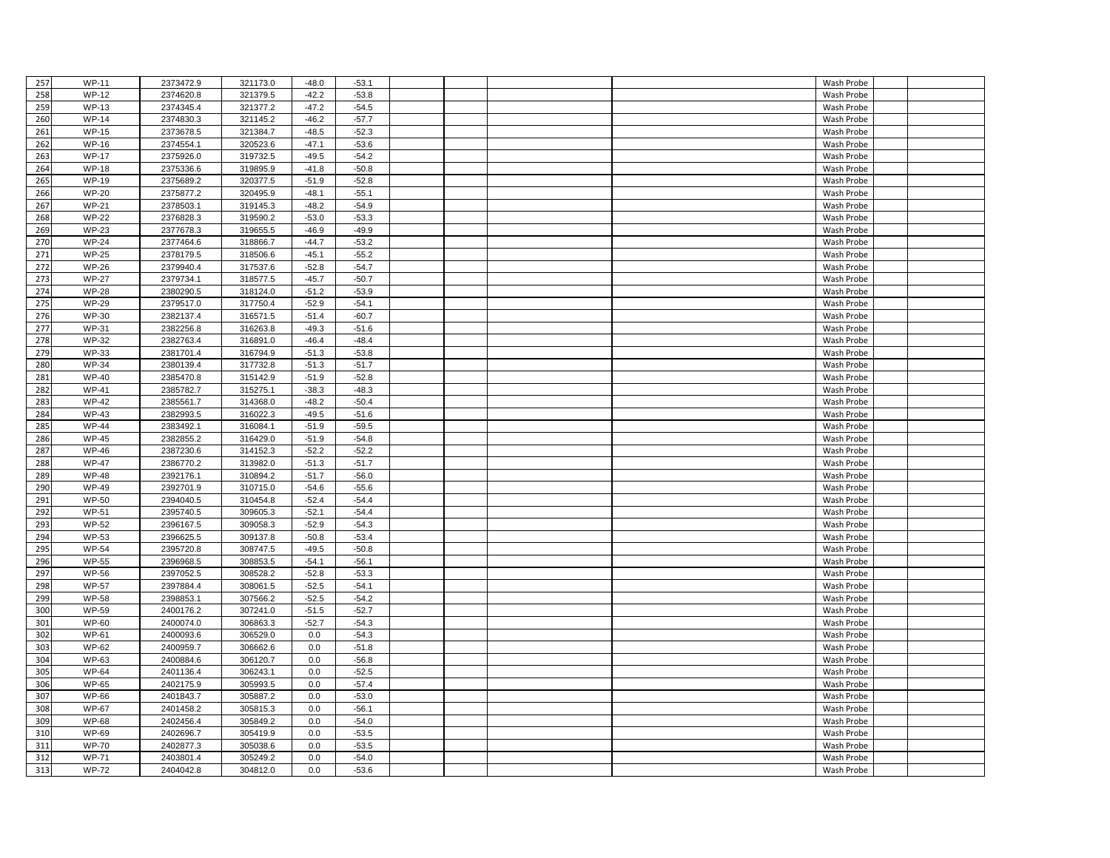| 257 | <b>WP-11</b> | 2373472.9 | 321173.0 | $-48.0$ | $-53.1$ |  |  | Wash Probe |  |
|-----|--------------|-----------|----------|---------|---------|--|--|------------|--|
| 258 | <b>WP-12</b> | 2374620.8 | 321379.5 | $-42.2$ | $-53.8$ |  |  | Wash Probe |  |
| 259 | <b>WP-13</b> | 2374345.4 | 321377.2 | $-47.2$ | $-54.5$ |  |  | Wash Probe |  |
| 260 | <b>WP-14</b> | 2374830.3 | 321145.2 | $-46.2$ | $-57.7$ |  |  | Wash Probe |  |
| 261 | <b>WP-15</b> | 2373678.5 | 321384.7 | $-48.5$ | $-52.3$ |  |  | Wash Probe |  |
| 262 | <b>WP-16</b> | 2374554.1 | 320523.6 | $-47.1$ | $-53.6$ |  |  | Wash Probe |  |
| 263 | <b>WP-17</b> | 2375926.0 | 319732.5 | $-49.5$ | $-54.2$ |  |  | Wash Probe |  |
| 264 | <b>WP-18</b> | 2375336.6 | 319895.9 | $-41.8$ | $-50.8$ |  |  | Wash Probe |  |
| 265 | <b>WP-19</b> | 2375689.2 | 320377.5 | $-51.9$ | $-52.8$ |  |  | Wash Probe |  |
| 266 | <b>WP-20</b> | 2375877.2 | 320495.9 | $-48.1$ | $-55.1$ |  |  | Wash Probe |  |
| 267 | <b>WP-21</b> | 2378503.1 | 319145.3 | $-48.2$ | $-54.9$ |  |  | Wash Probe |  |
| 268 | <b>WP-22</b> | 2376828.3 | 319590.2 | $-53.0$ | $-53.3$ |  |  | Wash Probe |  |
| 269 | <b>WP-23</b> | 2377678.3 | 319655.5 | $-46.9$ | $-49.9$ |  |  | Wash Probe |  |
| 270 | <b>WP-24</b> | 2377464.6 | 318866.7 | $-44.7$ | $-53.2$ |  |  | Wash Probe |  |
| 271 | <b>WP-25</b> | 2378179.5 | 318506.6 | $-45.1$ | $-55.2$ |  |  | Wash Probe |  |
| 272 | <b>WP-26</b> | 2379940.4 | 317537.6 | $-52.8$ | $-54.7$ |  |  | Wash Probe |  |
| 273 | <b>WP-27</b> | 2379734.1 | 318577.5 | $-45.7$ | $-50.7$ |  |  | Wash Probe |  |
| 274 | <b>WP-28</b> | 2380290.5 | 318124.0 | $-51.2$ | $-53.9$ |  |  | Wash Probe |  |
| 275 | <b>WP-29</b> | 2379517.0 | 317750.4 | $-52.9$ | $-54.1$ |  |  | Wash Probe |  |
| 276 | <b>WP-30</b> | 2382137.4 | 316571.5 | $-51.4$ | $-60.7$ |  |  | Wash Probe |  |
| 277 | <b>WP-31</b> | 2382256.8 | 316263.8 | $-49.3$ | $-51.6$ |  |  | Wash Probe |  |
| 278 | <b>WP-32</b> | 2382763.4 | 316891.0 | $-46.4$ | $-48.4$ |  |  | Wash Probe |  |
| 279 | <b>WP-33</b> | 2381701.4 | 316794.9 | $-51.3$ | $-53.8$ |  |  | Wash Probe |  |
| 280 | <b>WP-34</b> | 2380139.4 | 317732.8 | $-51.3$ | $-51.7$ |  |  | Wash Probe |  |
| 281 | <b>WP-40</b> | 2385470.8 | 315142.9 | $-51.9$ | $-52.8$ |  |  | Wash Probe |  |
| 282 | <b>WP-41</b> | 2385782.7 | 315275.1 | $-38.3$ | $-48.3$ |  |  | Wash Probe |  |
| 283 | <b>WP-42</b> | 2385561.7 | 314368.0 | $-48.2$ | $-50.4$ |  |  | Wash Probe |  |
| 284 | <b>WP-43</b> | 2382993.5 | 316022.3 | $-49.5$ | $-51.6$ |  |  | Wash Probe |  |
| 285 | <b>WP-44</b> | 2383492.1 | 316084.1 | $-51.9$ | $-59.5$ |  |  | Wash Probe |  |
| 286 | <b>WP-45</b> | 2382855.2 | 316429.0 | $-51.9$ | $-54.8$ |  |  | Wash Probe |  |
| 287 | <b>WP-46</b> | 2387230.6 | 314152.3 | $-52.2$ | $-52.2$ |  |  | Wash Probe |  |
| 288 | <b>WP-47</b> | 2386770.2 | 313982.0 | $-51.3$ | $-51.7$ |  |  | Wash Probe |  |
| 289 | <b>WP-48</b> | 2392176.1 | 310894.2 | $-51.7$ | $-56.0$ |  |  | Wash Probe |  |
| 290 | <b>WP-49</b> | 2392701.9 | 310715.0 | $-54.6$ | $-55.6$ |  |  | Wash Probe |  |
| 291 | <b>WP-50</b> | 2394040.5 | 310454.8 | $-52.4$ | $-54.4$ |  |  | Wash Probe |  |
| 292 | <b>WP-51</b> | 2395740.5 | 309605.3 | $-52.1$ | $-54.4$ |  |  | Wash Probe |  |
| 293 | <b>WP-52</b> | 2396167.5 | 309058.3 | $-52.9$ | $-54.3$ |  |  | Wash Probe |  |
| 294 | <b>WP-53</b> | 2396625.5 | 309137.8 | $-50.8$ | $-53.4$ |  |  | Wash Probe |  |
| 295 | <b>WP-54</b> | 2395720.8 | 308747.5 | $-49.5$ | $-50.8$ |  |  | Wash Probe |  |
| 296 | <b>WP-55</b> | 2396968.5 | 308853.5 | $-54.1$ | $-56.1$ |  |  | Wash Probe |  |
| 297 | <b>WP-56</b> | 2397052.5 | 308528.2 | $-52.8$ | $-53.3$ |  |  | Wash Probe |  |
| 298 | <b>WP-57</b> | 2397884.4 | 308061.5 | $-52.5$ | $-54.1$ |  |  | Wash Probe |  |
| 299 | <b>WP-58</b> | 2398853.1 | 307566.2 | $-52.5$ | $-54.2$ |  |  | Wash Probe |  |
| 300 | <b>WP-59</b> | 2400176.2 | 307241.0 | $-51.5$ | $-52.7$ |  |  | Wash Probe |  |
| 301 | <b>WP-60</b> | 2400074.0 | 306863.3 | $-52.7$ | $-54.3$ |  |  | Wash Probe |  |
| 302 | <b>WP-61</b> | 2400093.6 | 306529.0 | 0.0     | $-54.3$ |  |  | Wash Probe |  |
| 303 | <b>WP-62</b> | 2400959.7 | 306662.6 | 0.0     | $-51.8$ |  |  | Wash Probe |  |
| 304 | WP-63        | 2400884.6 | 306120.7 | 0.0     | $-56.8$ |  |  | Wash Probe |  |
| 305 | <b>WP-64</b> | 2401136.4 | 306243.1 | 0.0     | $-52.5$ |  |  | Wash Probe |  |
| 306 | <b>WP-65</b> | 2402175.9 | 305993.5 | 0.0     | $-57.4$ |  |  | Wash Probe |  |
| 307 | <b>WP-66</b> | 2401843.7 | 305887.2 | 0.0     | $-53.0$ |  |  | Wash Probe |  |
| 308 | <b>WP-67</b> | 2401458.2 | 305815.3 | 0.0     | $-56.1$ |  |  | Wash Probe |  |
| 309 | <b>WP-68</b> | 2402456.4 | 305849.2 | 0.0     | $-54.0$ |  |  | Wash Probe |  |
| 310 | WP-69        | 2402696.7 | 305419.9 | 0.0     | $-53.5$ |  |  | Wash Probe |  |
| 311 | <b>WP-70</b> | 2402877.3 | 305038.6 | 0.0     | $-53.5$ |  |  | Wash Probe |  |
| 312 | <b>WP-71</b> | 2403801.4 | 305249.2 | 0.0     | $-54.0$ |  |  | Wash Probe |  |
| 313 | <b>WP-72</b> | 2404042.8 | 304812.0 | 0.0     | $-53.6$ |  |  | Wash Probe |  |